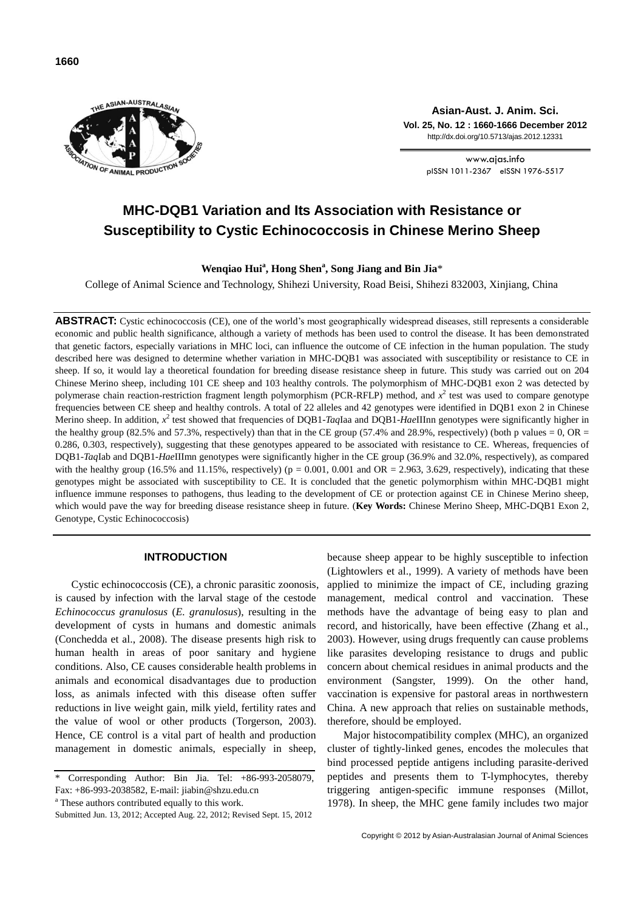



**Asian-Aust. J. Anim. Sci. Vol. 25, No. 12 : 1660-1666 December 2012** http://dx.doi.org/10.5713/ajas.2012.12331

> www.ajas.info pISSN 1011-2367 eISSN 1976-5517

# **MHC-DQB1 Variation and Its Association with Resistance or Susceptibility to Cystic Echinococcosis in Chinese Merino Sheep**

**Wenqiao Hui<sup>a</sup> , Hong Shen<sup>a</sup> , Song Jiang and Bin Jia**\*

College of Animal Science and Technology, Shihezi University, Road Beisi, Shihezi 832003, Xinjiang, China

**ABSTRACT:** Cystic echinococcosis (CE), one of the world's most geographically widespread diseases, still represents a considerable economic and public health significance, although a variety of methods has been used to control the disease. It has been demonstrated that genetic factors, especially variations in MHC loci, can influence the outcome of CE infection in the human population. The study described here was designed to determine whether variation in MHC-DQB1 was associated with susceptibility or resistance to CE in sheep. If so, it would lay a theoretical foundation for breeding disease resistance sheep in future. This study was carried out on 204 Chinese Merino sheep, including 101 CE sheep and 103 healthy controls. The polymorphism of MHC-DQB1 exon 2 was detected by polymerase chain reaction-restriction fragment length polymorphism (PCR-RFLP) method, and  $x^2$  test was used to compare genotype frequencies between CE sheep and healthy controls. A total of 22 alleles and 42 genotypes were identified in DQB1 exon 2 in Chinese Merino sheep. In addition,  $x^2$  test showed that frequencies of DQB1-*Taq*Iaa and DQB1-*HaeIIInn* genotypes were significantly higher in the healthy group (82.5% and 57.3%, respectively) than that in the CE group (57.4% and 28.9%, respectively) (both p values = 0, OR = 0.286, 0.303, respectively), suggesting that these genotypes appeared to be associated with resistance to CE. Whereas, frequencies of DQB1-*Taq*Iab and DQB1-*Hae*IIImn genotypes were significantly higher in the CE group (36.9% and 32.0%, respectively), as compared with the healthy group (16.5% and 11.15%, respectively) ( $p = 0.001$ , 0.001 and OR = 2.963, 3.629, respectively), indicating that these genotypes might be associated with susceptibility to CE. It is concluded that the genetic polymorphism within MHC-DQB1 might influence immune responses to pathogens, thus leading to the development of CE or protection against CE in Chinese Merino sheep, which would pave the way for breeding disease resistance sheep in future. (**Key Words:** Chinese Merino Sheep, MHC-DQB1 Exon 2, Genotype, Cystic Echinococcosis)

## **INTRODUCTION**

Cystic echinococcosis (CE), a chronic parasitic zoonosis, is caused by infection with the larval stage of the cestode *Echinococcus granulosus* (*E. granulosus*), resulting in the development of cysts in humans and domestic animals (Conchedda et al., 2008). The disease presents high risk to human health in areas of poor sanitary and hygiene conditions. Also, CE causes considerable health problems in animals and economical disadvantages due to production loss, as animals infected with this disease often suffer reductions in live weight gain, milk yield, fertility rates and the value of wool or other products (Torgerson, 2003). Hence, CE control is a vital part of health and production management in domestic animals, especially in sheep,

<sup>a</sup> These authors contributed equally to this work.

because sheep appear to be highly susceptible to infection (Lightowlers et al., 1999). A variety of methods have been applied to minimize the impact of CE, including grazing management, medical control and vaccination. These methods have the advantage of being easy to plan and record, and historically, have been effective (Zhang et al., 2003). However, using drugs frequently can cause problems like parasites developing resistance to drugs and public concern about chemical residues in animal products and the environment (Sangster, 1999). On the other hand, vaccination is expensive for pastoral areas in northwestern China. A new approach that relies on sustainable methods, therefore, should be employed.

Major histocompatibility complex (MHC), an organized cluster of tightly-linked genes, encodes the molecules that bind processed peptide antigens including parasite-derived peptides and presents them to T-lymphocytes, thereby triggering antigen-specific immune responses (Millot, 1978). In sheep, the MHC gene family includes two major

Corresponding Author: Bin Jia. Tel:  $+86-993-2058079$ , Fax: +86-993-2038582, E-mail: jiabin@shzu.edu.cn

Submitted Jun. 13, 2012; Accepted Aug. 22, 2012; Revised Sept. 15, 2012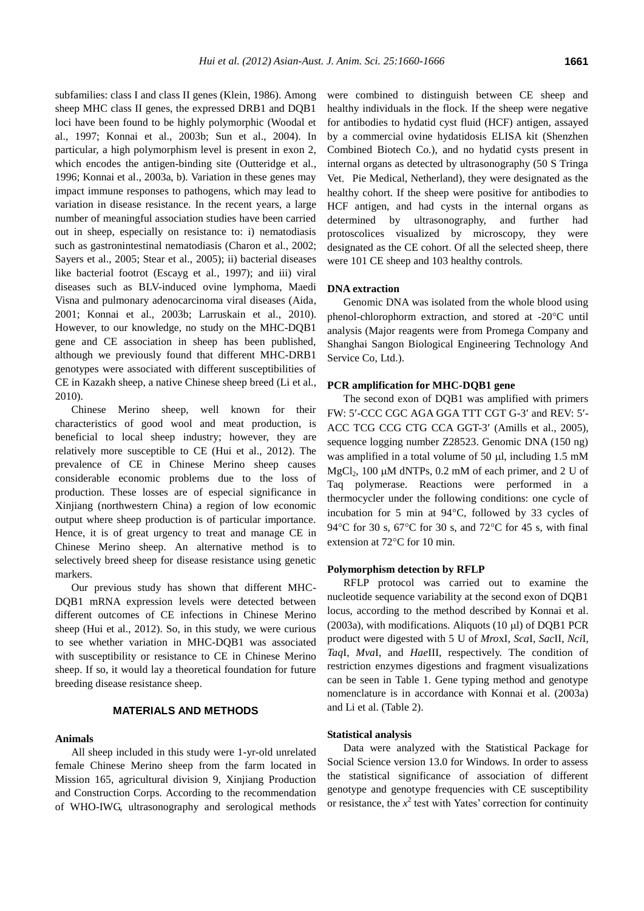subfamilies: class I and class II genes (Klein, 1986). Among sheep MHC class II genes, the expressed DRB1 and DQB1 loci have been found to be highly polymorphic (Woodal et al., 1997; Konnai et al., 2003b; Sun et al., 2004). In particular, a high polymorphism level is present in exon 2, which encodes the antigen-binding site (Outteridge et al., 1996; Konnai et al., 2003a, b). Variation in these genes may impact immune responses to pathogens, which may lead to variation in disease resistance. In the recent years, a large number of meaningful association studies have been carried out in sheep, especially on resistance to: i) nematodiasis such as gastronintestinal nematodiasis (Charon et al., 2002; Sayers et al., 2005; Stear et al., 2005); ii) bacterial diseases like bacterial footrot (Escayg et al., 1997); and iii) viral diseases such as BLV-induced ovine lymphoma, Maedi Visna and pulmonary adenocarcinoma viral diseases (Aida, 2001; Konnai et al., 2003b; Larruskain et al., 2010). However, to our knowledge, no study on the MHC-DQB1 gene and CE association in sheep has been published, although we previously found that different MHC-DRB1 genotypes were associated with different susceptibilities of CE in Kazakh sheep, a native Chinese sheep breed (Li et al., 2010).

Chinese Merino sheep, well known for their characteristics of good wool and meat production, is beneficial to local sheep industry; however, they are relatively more susceptible to CE (Hui et al., 2012). The prevalence of CE in Chinese Merino sheep causes considerable economic problems due to the loss of production. These losses are of especial significance in Xinjiang (northwestern China) a region of low economic output where sheep production is of particular importance. Hence, it is of great urgency to treat and manage CE in Chinese Merino sheep. An alternative method is to selectively breed sheep for disease resistance using genetic markers.

Our previous study has shown that different MHC-DQB1 mRNA expression levels were detected between different outcomes of CE infections in Chinese Merino sheep (Hui et al., 2012). So, in this study, we were curious to see whether variation in MHC-DQB1 was associated with susceptibility or resistance to CE in Chinese Merino sheep. If so, it would lay a theoretical foundation for future breeding disease resistance sheep.

# **MATERIALS AND METHODS**

#### **Animals**

All sheep included in this study were 1-yr-old unrelated female Chinese Merino sheep from the farm located in Mission 165, agricultural division 9, Xinjiang Production and Construction Corps. According to the recommendation of WHO-IWG, ultrasonography and serological methods were combined to distinguish between CE sheep and healthy individuals in the flock. If the sheep were negative for antibodies to hydatid cyst fluid (HCF) antigen, assayed by a commercial ovine hydatidosis ELISA kit (Shenzhen Combined Biotech Co.), and no hydatid cysts present in internal organs as detected by ultrasonography (50 S Tringa Vet, Pie Medical, Netherland), they were designated as the healthy cohort. If the sheep were positive for antibodies to HCF antigen, and had cysts in the internal organs as determined by ultrasonography, and further had protoscolices visualized by microscopy, they were designated as the CE cohort. Of all the selected sheep, there were 101 CE sheep and 103 healthy controls.

#### **DNA extraction**

Genomic DNA was isolated from the whole blood using phenol-chlorophorm extraction, and stored at -20°C until analysis (Major reagents were from Promega Company and Shanghai Sangon Biological Engineering Technology And Service Co, Ltd.).

# **PCR amplification for MHC-DQB1 gene**

The second exon of DQB1 was amplified with primers FW: 5'-CCC CGC AGA GGA TTT CGT G-3' and REV: 5'-ACC TCG CCG CTG CCA GGT-3' (Amills et al., 2005), sequence logging number Z28523. Genomic DNA (150 ng) was amplified in a total volume of 50  $\mu$ l, including 1.5 mM  $MgCl<sub>2</sub>$ , 100 µM dNTPs, 0.2 mM of each primer, and 2 U of Taq polymerase. Reactions were performed in a thermocycler under the following conditions: one cycle of incubation for 5 min at  $94^{\circ}$ C, followed by 33 cycles of 94 $\rm ^{o}C$  for 30 s, 67 $\rm ^{o}C$  for 30 s, and 72 $\rm ^{o}C$  for 45 s, with final extension at 72°C for 10 min.

#### **Polymorphism detection by RFLP**

RFLP protocol was carried out to examine the nucleotide sequence variability at the second exon of DQB1 locus, according to the method described by Konnai et al. (2003a), with modifications. Aliquots (10  $\mu$ l) of DQB1 PCR product were digested with 5 U of *Mro*xI, *Sca*I, *Sac*II, *Nci*I, *Taq*I, *Mva*I, and *Hae*III, respectively. The condition of restriction enzymes digestions and fragment visualizations can be seen in Table 1. Gene typing method and genotype nomenclature is in accordance with Konnai et al. (2003a) and Li et al. (Table 2).

# **Statistical analysis**

Data were analyzed with the Statistical Package for Social Science version 13.0 for Windows. In order to assess the statistical significance of association of different genotype and genotype frequencies with CE susceptibility or resistance, the  $x^2$  test with Yates' correction for continuity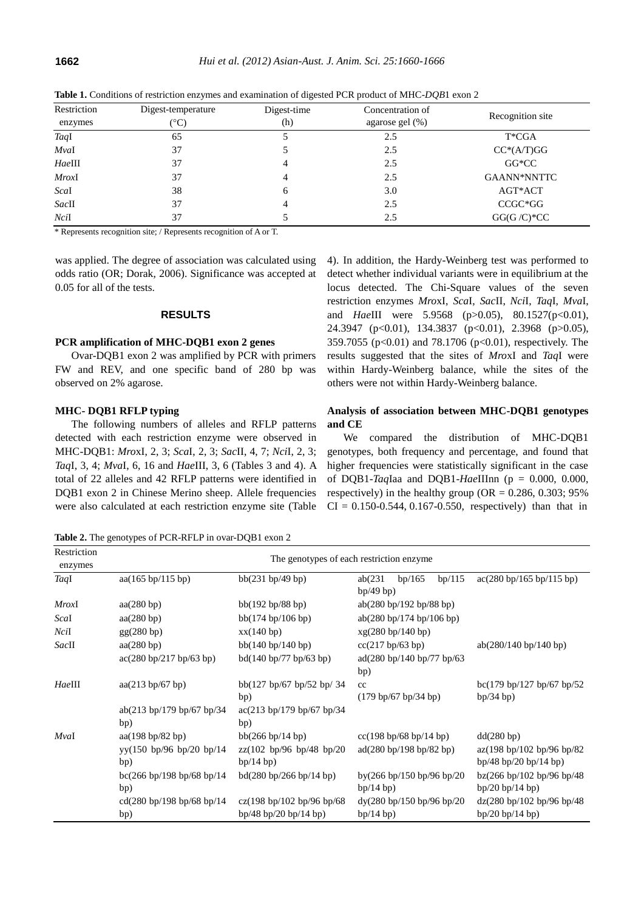| Restriction<br>enzymes | Digest-temperature<br>(°C) | Digest-time<br>(h) | Concentration of<br>agarose gel $(\%)$ | Recognition site |
|------------------------|----------------------------|--------------------|----------------------------------------|------------------|
| TaqI                   | 65                         |                    | 2.5                                    | T*CGA            |
| MvaI                   | 37                         |                    | 2.5                                    | $CC*(A/T)GG$     |
| HaeIII                 | 37                         | 4                  | 2.5                                    | $GG*CC$          |
| <i>MroxI</i>           | 37                         | 4                  | 2.5                                    | GAANN*NNTTC      |
| Scal                   | 38                         | 6                  | 3.0                                    | AGT*ACT          |
| SacII                  | 37                         | 4                  | 2.5                                    | CCGC*GG          |
| NciI                   | 37                         |                    | 2.5                                    | $GG(G/C)*CC$     |

**Table 1.** Conditions of restriction enzymes and examination of digested PCR product of MHC-*DQB*1 exon 2

\* Represents recognition site; / Represents recognition of A or T.

was applied. The degree of association was calculated using odds ratio (OR; Dorak, 2006). Significance was accepted at 0.05 for all of the tests.

# **RESULTS**

## **PCR amplification of MHC-DQB1 exon 2 genes**

Ovar-DQB1 exon 2 was amplified by PCR with primers FW and REV, and one specific band of 280 bp was observed on 2% agarose.

# **MHC- DQB1 RFLP typing**

The following numbers of alleles and RFLP patterns detected with each restriction enzyme were observed in MHC-DQB1: *Mro*xI, 2, 3; *Sca*I, 2, 3; *Sac*II, 4, 7; *Nci*I, 2, 3; *Taq*I, 3, 4; *Mva*I, 6, 16 and *Hae*III, 3, 6 (Tables 3 and 4). A total of 22 alleles and 42 RFLP patterns were identified in DQB1 exon 2 in Chinese Merino sheep. Allele frequencies were also calculated at each restriction enzyme site (Table

**Table 2.** The genotypes of PCR-RFLP in ovar-DQB1 exon 2

4). In addition, the Hardy-Weinberg test was performed to detect whether individual variants were in equilibrium at the locus detected. The Chi-Square values of the seven restriction enzymes *Mro*xI, *Sca*I, *Sac*II, *Nci*I, *Taq*I, *Mva*I, and *Hae*III were 5.9568 (p>0.05), 80.1527(p<0.01), 24.3947 (p<0.01), 134.3837 (p<0.01), 2.3968 (p>0.05), 359.7055 (p<0.01) and 78.1706 (p<0.01), respectively. The results suggested that the sites of *Mro*xI and *Taq*I were within Hardy-Weinberg balance, while the sites of the others were not within Hardy-Weinberg balance.

# **Analysis of association between MHC-DQB1 genotypes and CE**

We compared the distribution of MHC-DQB1 genotypes, both frequency and percentage, and found that higher frequencies were statistically significant in the case of DQB1-*Taq*Iaa and DQB1-*Hae*IIInn (p = 0.000, 0.000, respectively) in the healthy group ( $OR = 0.286, 0.303; 95\%$  $CI = 0.150 - 0.544, 0.167 - 0.550$ , respectively) than that in

| Restriction<br>enzymes | The genotypes of each restriction enzyme                     |                                                                      |                                                      |                                                                                                            |  |
|------------------------|--------------------------------------------------------------|----------------------------------------------------------------------|------------------------------------------------------|------------------------------------------------------------------------------------------------------------|--|
| TaqI                   | aa(165 bp/115 bp)                                            | bb(231 bp/49 bp)                                                     | bp/165<br>bp/115<br>ab(231)<br>bp/49 bp)             | $\frac{\text{ac}(280 \text{ bp}/165 \text{ bp}/115 \text{ bp})}{\text{ac}(280 \text{ bp}/165 \text{ bp})}$ |  |
| <i>MroxI</i>           | aa(280 bp)                                                   | bb(192 bp/88 bp)                                                     | ab(280 bp/192 bp/88 bp)                              |                                                                                                            |  |
| Scal                   | aa(280 bp)                                                   | bb(174 bp/106 bp)                                                    | ab(280 bp/174 bp/106 bp)                             |                                                                                                            |  |
| NciI                   | gg(280 bp)                                                   | xx(140 bp)                                                           | xg(280 bp/140 bp)                                    |                                                                                                            |  |
| SacII                  | aa(280 bp)                                                   | bb(140 bp/140 bp)                                                    | cc(217 bp/63 bp)                                     | ab(280/140 b p/140 b p)                                                                                    |  |
|                        | ac(280 bp/217 bp/63 bp)                                      | bd(140 bp/77 bp/63 bp)                                               | ad(280 bp/140 bp/77 bp/63<br>bp)                     |                                                                                                            |  |
| HaeIII                 | aa(213 bp/67 bp)                                             | bb(127 bp/67 bp/52 bp/34<br>bp)                                      | cc<br>$(179 \text{ bp}/67 \text{ bp}/34 \text{ bp})$ | bc(179 bp/127 bp/67 bp/52<br>bp/34 bp)                                                                     |  |
|                        | ab(213 bp/179 bp/67 bp/34)<br>bp)                            | $\frac{ac(213 \text{ bp}/179 \text{ bp}/67 \text{ bp}/34)}{}$<br>bp) |                                                      |                                                                                                            |  |
| MvaI                   | aa(198 bp/82 bp)                                             | bb(266 bp/14 bp)                                                     | $cc(198 \text{ bp}/68 \text{ bp}/14 \text{ bp})$     | dd(280 bp)                                                                                                 |  |
|                        | $yy(150 \text{ bp}/96 \text{ bp}/20 \text{ bp}/14)$<br>bp)   | $zz(102 \text{ bp}/96 \text{ bp}/48 \text{ bp}/20)$<br>bp/14 bp)     | ad(280 bp/198 bp/82 bp)                              | az(198 bp/102 bp/96 bp/82<br>bp/48 bp/20 bp/14 bp)                                                         |  |
|                        | bc(266 bp/198 bp/68 bp/14<br>bp)                             | bd(280 bp/266 bp/14 bp)                                              | by(266 bp/150 bp/96 bp/20<br>bp/14 bp)               | bz(266 bp/102 bp/96 bp/48)<br>bp/20 bp/14 bp)                                                              |  |
|                        | cd $(280 \text{ bp}/198 \text{ bp}/68 \text{ bp}/14)$<br>bp) | cz(198 bp/102 bp/96 bp/68<br>bp/48 bp/20 bp/14 bp)                   | dy(280 bp/150 bp/96 bp/20<br>bp/14 bp)               | dz(280 bp/102 bp/96 bp/48)<br>bp/20 bp/14 bp)                                                              |  |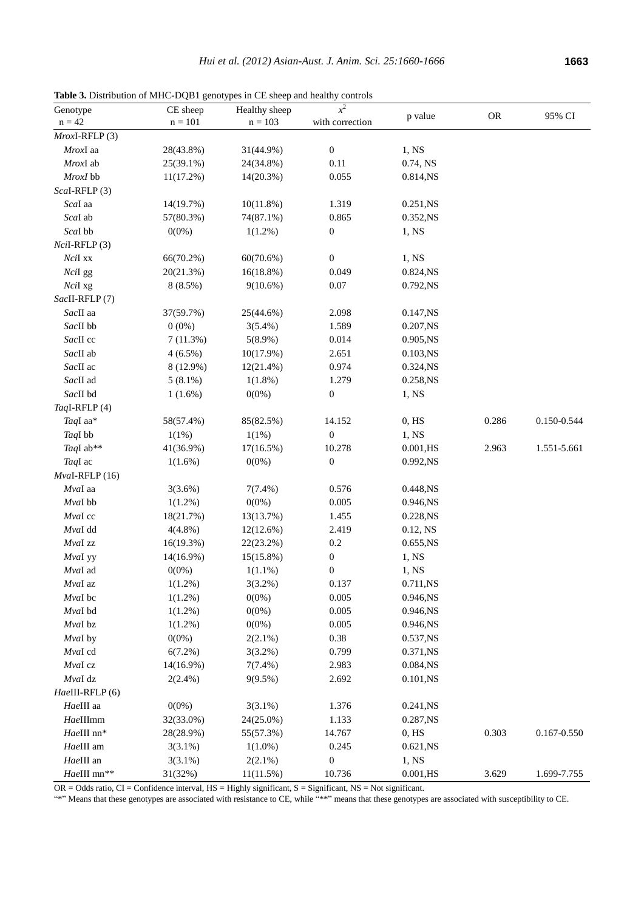**Table 3.** Distribution of MHC-DQB1 genotypes in CE sheep and healthy controls

| Genotype            | CE sheep   | Healthy sheep | $x^2$            | p value     | <b>OR</b> | 95% CI      |
|---------------------|------------|---------------|------------------|-------------|-----------|-------------|
| $n = 42$            | $n = 101$  | $n = 103$     | with correction  |             |           |             |
| $Mrox$ I-RFLP $(3)$ |            |               |                  |             |           |             |
| MroxI aa            | 28(43.8%)  | 31(44.9%)     | $\boldsymbol{0}$ | 1, NS       |           |             |
| MroxI ab            | 25(39.1%)  | 24(34.8%)     | 0.11             | 0.74, NS    |           |             |
| MroxI bb            | 11(17.2%)  | 14(20.3%)     | 0.055            | 0.814,NS    |           |             |
| Scal-RFLP(3)        |            |               |                  |             |           |             |
| Scal aa             | 14(19.7%)  | 10(11.8%)     | 1.319            | 0.251, NS   |           |             |
| Scal ab             | 57(80.3%)  | 74(87.1%)     | 0.865            | 0.352, NS   |           |             |
| Scal bb             | $0(0\%)$   | $1(1.2\%)$    | $\boldsymbol{0}$ | 1, NS       |           |             |
| $NciI-RFLP(3)$      |            |               |                  |             |           |             |
| NciI xx             | 66(70.2%)  | 60(70.6%)     | $\boldsymbol{0}$ | 1, NS       |           |             |
| NciI gg             | 20(21.3%)  | 16(18.8%)     | 0.049            | 0.824, NS   |           |             |
| NciI xg             | 8(8.5%)    | $9(10.6\%)$   | 0.07             | 0.792,NS    |           |             |
| SacII-RFLP(7)       |            |               |                  |             |           |             |
| SacII aa            | 37(59.7%)  | 25(44.6%)     | 2.098            | 0.147, NS   |           |             |
| SacII bb            | $0(0\%)$   | $3(5.4\%)$    | 1.589            | 0.207, NS   |           |             |
| SacII cc            | 7(11.3%)   | $5(8.9\%)$    | 0.014            | 0.905,NS    |           |             |
| SacII ab            | $4(6.5\%)$ | 10(17.9%)     | 2.651            | 0.103, NS   |           |             |
| SacII ac            | 8 (12.9%)  | 12(21.4%)     | 0.974            | 0.324, NS   |           |             |
| SacII ad            | $5(8.1\%)$ | $1(1.8\%)$    | 1.279            | 0.258, NS   |           |             |
| SacII bd            | $1(1.6\%)$ | $0(0\%)$      | $\boldsymbol{0}$ | 1, NS       |           |             |
| TaqI-RFLP(4)        |            |               |                  |             |           |             |
| TaqI aa*            | 58(57.4%)  | 85(82.5%)     | 14.152           | $0,$ HS     | 0.286     | 0.150-0.544 |
| TaqI bb             | 1(1%)      | 1(1%)         | $\boldsymbol{0}$ | 1, NS       |           |             |
| TaqI ab**           | 41(36.9%)  | 17(16.5%)     | 10.278           | $0.001,$ HS | 2.963     | 1.551-5.661 |
| TaqI ac             | $1(1.6\%)$ | $0(0\%)$      | $\boldsymbol{0}$ | 0.992,NS    |           |             |
| MvaI-RFLP (16)      |            |               |                  |             |           |             |
| MvaI aa             | 3(3.6%)    | $7(7.4\%)$    | 0.576            | 0.448,NS    |           |             |
| MvaI bb             | $1(1.2\%)$ | $0(0\%)$      | 0.005            | 0.946,NS    |           |             |
| MvaI cc             | 18(21.7%)  | 13(13.7%)     | 1.455            | 0.228, NS   |           |             |
| MvaI dd             | $4(4.8\%)$ | 12(12.6%)     | 2.419            | 0.12, NS    |           |             |
| $MvaI$ zz           | 16(19.3%)  | 22(23.2%)     | $0.2\,$          | 0.655,NS    |           |             |
| MvaI yy             | 14(16.9%)  | $15(15.8\%)$  | $\boldsymbol{0}$ | 1, NS       |           |             |
| MvaI ad             | $0(0\%)$   | $1(1.1\%)$    | $\boldsymbol{0}$ | 1, NS       |           |             |
| MvaI az             | 1(1.2%)    | $3(3.2\%)$    | 0.137            | 0.711,NS    |           |             |
| MvaI bc             | $1(1.2\%)$ | $0(0\%)$      | 0.005            | 0.946,NS    |           |             |
| MvaI bd             | $1(1.2\%)$ | $0(0\%)$      | 0.005            | 0.946,NS    |           |             |
| $M$ val bz          | $1(1.2\%)$ | $0(0\%)$      | 0.005            | 0.946,NS    |           |             |
| MvaI by             | $0(0\%)$   | $2(2.1\%)$    | $0.38\,$         | 0.537, NS   |           |             |
| MvaI cd             | 6(7.2%)    | $3(3.2\%)$    | 0.799            | 0.371,NS    |           |             |
| MvaI cz             | 14(16.9%)  | $7(7.4\%)$    | 2.983            | 0.084,NS    |           |             |
| MvaI dz             | $2(2.4\%)$ | 9(9.5%)       | 2.692            | 0.101, NS   |           |             |
| HaeIII-RFLP(6)      |            |               |                  |             |           |             |
| HaeIII aa           | $0(0\%)$   | $3(3.1\%)$    | 1.376            | 0.241, NS   |           |             |
| HaeIIImm            | 32(33.0%)  | 24(25.0%)     | 1.133            | 0.287, NS   |           |             |
| HaeIII nn*          | 28(28.9%)  | 55(57.3%)     | 14.767           | 0, HS       | 0.303     | 0.167-0.550 |
| HaeIII am           | $3(3.1\%)$ | $1(1.0\%)$    | 0.245            | 0.621, NS   |           |             |
| HaeIII an           | $3(3.1\%)$ | $2(2.1\%)$    | $\boldsymbol{0}$ | 1, NS       |           |             |
| HaeIII mn**         | 31(32%)    | 11(11.5%)     | 10.736           | $0.001,$ HS | 3.629     | 1.699-7.755 |

 $OR = Odds$  ratio,  $CI = Confidence$  interval,  $HS = Highly$  significant,  $S = Significant$ ,  $NS = Not$  significant.

"\*" Means that these genotypes are associated with resistance to CE, while "\*\*" means that these genotypes are associated with susceptibility to CE.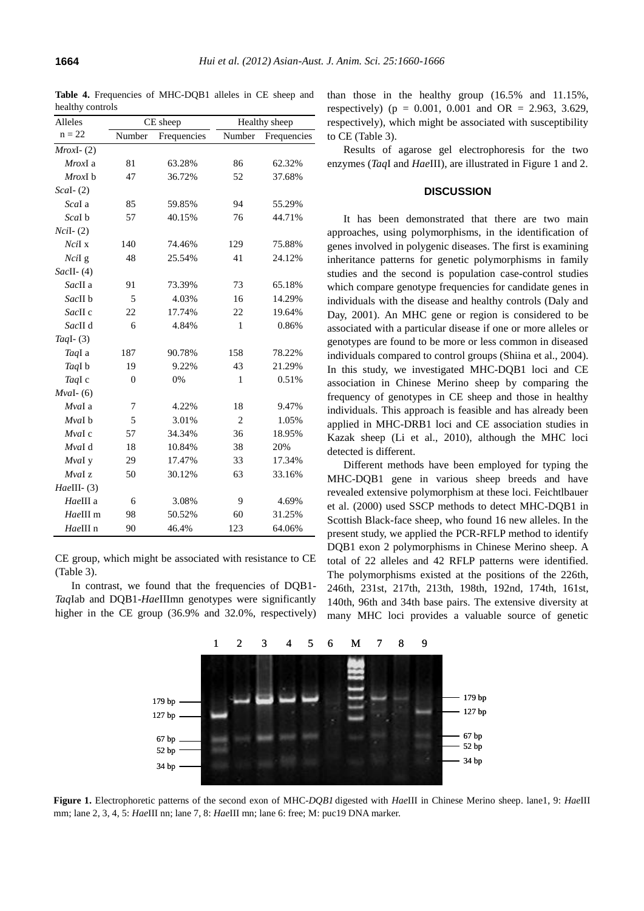| Alleles       | CE sheep       |             | Healthy sheep  |             |
|---------------|----------------|-------------|----------------|-------------|
| $n = 22$      | Number         | Frequencies | Number         | Frequencies |
| $MroxI- (2)$  |                |             |                |             |
| MroxI a       | 81             | 63.28%      | 86             | 62.32%      |
| MroxI b       | 47             | 36.72%      | 52             | 37.68%      |
| $Scal-$ (2)   |                |             |                |             |
| Scal a        | 85             | 59.85%      | 94             | 55.29%      |
| Scal b        | 57             | 40.15%      | 76             | 44.71%      |
| $NciI-(2)$    |                |             |                |             |
| $NciI$ x      | 140            | 74.46%      | 129            | 75.88%      |
| NciI g        | 48             | 25.54%      | 41             | 24.12%      |
| $SacII-$ (4)  |                |             |                |             |
| SacII a       | 91             | 73.39%      | 73             | 65.18%      |
| SacII b       | 5              | 4.03%       | 16             | 14.29%      |
| SacII c       | 22             | 17.74%      | 22             | 19.64%      |
| SacII d       | 6              | 4.84%       | 1              | 0.86%       |
| TaqI $-$ (3)  |                |             |                |             |
| TaqI a        | 187            | 90.78%      | 158            | 78.22%      |
| TaqI b        | 19             | 9.22%       | 43             | 21.29%      |
| TaqI c        | $\overline{0}$ | 0%          | $\mathbf{1}$   | 0.51%       |
| $Mval-$ (6)   |                |             |                |             |
| MvaI a        | 7              | 4.22%       | 18             | 9.47%       |
| MvaI b        | 5              | 3.01%       | $\overline{2}$ | 1.05%       |
| $M$ val c     | 57             | 34.34%      | 36             | 18.95%      |
| MvaI d        | 18             | 10.84%      | 38             | 20%         |
| MvaI y        | 29             | 17.47%      | 33             | 17.34%      |
| MvaI z        | 50             | 30.12%      | 63             | 33.16%      |
| $HaeIII-$ (3) |                |             |                |             |
| HaeIII a      | 6              | 3.08%       | 9              | 4.69%       |
| HaeIII m      | 98             | 50.52%      | 60             | 31.25%      |
| HaeIII n      | 90             | 46.4%       | 123            | 64.06%      |

**Table 4.** Frequencies of MHC-DQB1 alleles in CE sheep and healthy controls

CE group, which might be associated with resistance to CE (Table 3).

In contrast, we found that the frequencies of DQB1- *Taq*Iab and DQB1-*Hae*IIImn genotypes were significantly higher in the CE group (36.9% and 32.0%, respectively)

than those in the healthy group (16.5% and 11.15%, respectively) ( $p = 0.001$ , 0.001 and OR = 2.963, 3.629, respectively), which might be associated with susceptibility to CE (Table 3).

Results of agarose gel electrophoresis for the two enzymes (*Taq*I and *Hae*III), are illustrated in Figure 1 and 2.

# **DISCUSSION**

It has been demonstrated that there are two main approaches, using polymorphisms, in the identification of genes involved in polygenic diseases. The first is examining inheritance patterns for genetic polymorphisms in family studies and the second is population case-control studies which compare genotype frequencies for candidate genes in individuals with the disease and healthy controls (Daly and Day, 2001). An MHC gene or region is considered to be associated with a particular disease if one or more alleles or genotypes are found to be more or less common in diseased individuals compared to control groups (Shiina et al., 2004). In this study, we investigated MHC-DQB1 loci and CE association in Chinese Merino sheep by comparing the frequency of genotypes in CE sheep and those in healthy individuals. This approach is feasible and has already been applied in MHC-DRB1 loci and CE association studies in Kazak sheep (Li et al., 2010), although the MHC loci detected is different.

Different methods have been employed for typing the MHC-DQB1 gene in various sheep breeds and have revealed extensive polymorphism at these loci. Feichtlbauer et al. (2000) used SSCP methods to detect MHC-DQB1 in Scottish Black-face sheep, who found 16 new alleles. In the present study, we applied the PCR-RFLP method to identify DQB1 exon 2 polymorphisms in Chinese Merino sheep. A total of 22 alleles and 42 RFLP patterns were identified. The polymorphisms existed at the positions of the 226th, 246th, 231st, 217th, 213th, 198th, 192nd, 174th, 161st, 140th, 96th and 34th base pairs. The extensive diversity at many MHC loci provides a valuable source of genetic



**Figure 1.** Electrophoretic patterns of the second exon of MHC*-DQB1* digested with *Hae*III in Chinese Merino sheep. lane1, 9: *Hae*III mm; lane 2, 3, 4, 5: *Hae*III nn; lane 7, 8: *Hae*III mn; lane 6: free; M: puc19 DNA marker.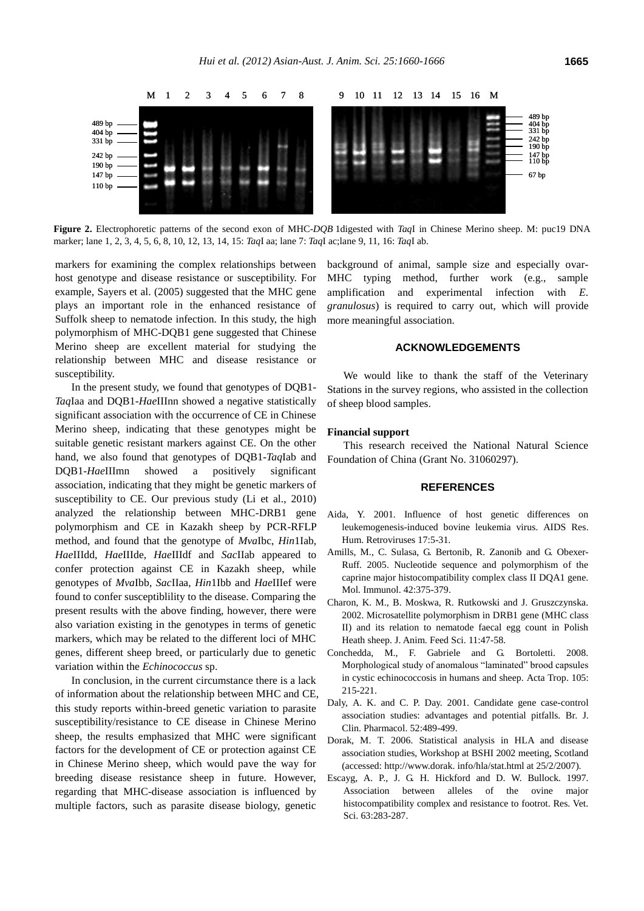

**Figure 2.** Electrophoretic patterns of the second exon of MHC-*DQB* 1digested with *Taq*I in Chinese Merino sheep. M: puc19 DNA marker; lane 1, 2, 3, 4, 5, 6, 8, 10, 12, 13, 14, 15: *Taq*I aa; lane 7: *Taq*I ac;lane 9, 11, 16: *Taq*I ab.

markers for examining the complex relationships between host genotype and disease resistance or susceptibility. For example, Sayers et al. (2005) suggested that the MHC gene plays an important role in the enhanced resistance of Suffolk sheep to nematode infection. In this study, the high polymorphism of MHC-DQB1 gene suggested that Chinese Merino sheep are excellent material for studying the relationship between MHC and disease resistance or susceptibility.

In the present study, we found that genotypes of DQB1- *Taq*Iaa and DQB1-*Hae*IIInn showed a negative statistically significant association with the occurrence of CE in Chinese Merino sheep, indicating that these genotypes might be suitable genetic resistant markers against CE. On the other hand, we also found that genotypes of DQB1-*Taq*Iab and DQB1-*Hae*IIImn showed a positively significant association, indicating that they might be genetic markers of susceptibility to CE. Our previous study (Li et al., 2010) analyzed the relationship between MHC-DRB1 gene polymorphism and CE in Kazakh sheep by PCR-RFLP method, and found that the genotype of *Mva*Ibc, *Hin*1Iab, *Hae*IIIdd, *Hae*IIIde, *Hae*IIIdf and *Sac*IIab appeared to confer protection against CE in Kazakh sheep, while genotypes of *Mva*Ibb, *Sac*IIaa, *Hin*1Ibb and *Hae*IIIef were found to confer susceptiblility to the disease. Comparing the present results with the above finding, however, there were also variation existing in the genotypes in terms of genetic markers, which may be related to the different loci of MHC genes, different sheep breed, or particularly due to genetic variation within the *Echinococcus* sp.

In conclusion, in the current circumstance there is a lack of information about the relationship between MHC and CE, this study reports within-breed genetic variation to parasite susceptibility/resistance to CE disease in Chinese Merino sheep, the results emphasized that MHC were significant factors for the development of CE or protection against CE in Chinese Merino sheep, which would pave the way for breeding disease resistance sheep in future. However, regarding that MHC-disease association is influenced by multiple factors, such as parasite disease biology, genetic

background of animal, sample size and especially ovar-MHC typing method, further work (e.g., sample amplification and experimental infection with *E. granulosus*) is required to carry out, which will provide more meaningful association.

# **ACKNOWLEDGEMENTS**

We would like to thank the staff of the Veterinary Stations in the survey regions, who assisted in the collection of sheep blood samples.

# **Financial support**

This research received the National Natural Science Foundation of China (Grant No. 31060297).

# **REFERENCES**

- Aida, Y. 2001. Influence of host genetic differences on leukemogenesis-induced bovine leukemia virus. AIDS Res. Hum. Retroviruses 17:5-31.
- Amills, M., C. Sulasa, G. Bertonib, R. Zanonib and G. Obexer-Ruff. 2005. Nucleotide sequence and polymorphism of the caprine major histocompatibility complex class II DQA1 gene. Mol. Immunol. 42:375-379.
- Charon, K. M., B. Moskwa, R. Rutkowski and J. Gruszczynska. 2002. Microsatellite polymorphism in DRB1 gene (MHC class II) and its relation to nematode faecal egg count in Polish Heath sheep. [J. Anim. Feed Sci.](http://www.medsci.cn/sci/submit.do?id=77383418) 11:47-58.
- Conchedda, M., F. Gabriele and G. Bortoletti. 2008. Morphological study of anomalous "laminated" brood capsules in cystic echinococcosis in humans and sheep. Acta Trop. 105: 215-221.
- Daly, A. K. and C. P. Day. 2001. Candidate gene case-control association studies: advantages and potential pitfalls. Br. J. Clin. Pharmacol. 52:489-499.
- Dorak, M. T. 2006. Statistical analysis in HLA and disease association studies, Workshop at BSHI 2002 meeting, Scotland (accessed[: http://www.dorak.](http://www.dorak/) info/hla/stat.html at 25/2/2007).
- Escayg, A. P., J. G. H. Hickford and D. W. Bullock. 1997. Association between alleles of the ovine major histocompatibility complex and resistance to footrot. Res. Vet. Sci. 63:283-287.